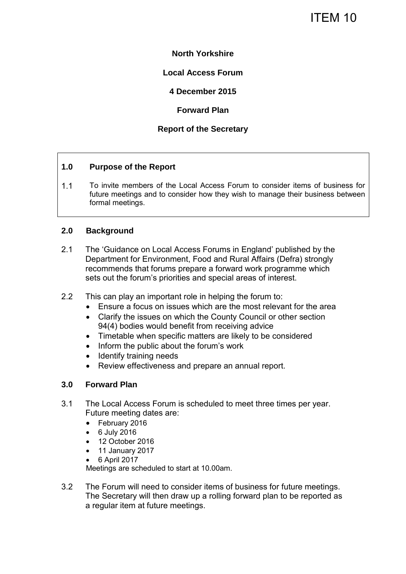## **North Yorkshire**

## **Local Access Forum**

**4 December 2015** 

**Forward Plan** 

## **Report of the Secretary**

### **1.0 Purpose of the Report**

1.1 To invite members of the Local Access Forum to consider items of business for future meetings and to consider how they wish to manage their business between formal meetings.

### **2.0 Background**

- 2.1 The 'Guidance on Local Access Forums in England' published by the Department for Environment, Food and Rural Affairs (Defra) strongly recommends that forums prepare a forward work programme which sets out the forum's priorities and special areas of interest.
- 2.2 This can play an important role in helping the forum to:
	- Ensure a focus on issues which are the most relevant for the area
	- Clarify the issues on which the County Council or other section 94(4) bodies would benefit from receiving advice
	- Timetable when specific matters are likely to be considered
	- Inform the public about the forum's work
	- Identify training needs
	- Review effectiveness and prepare an annual report.

### **3.0 Forward Plan**

- 3.1 The Local Access Forum is scheduled to meet three times per year. Future meeting dates are:
	- February 2016
	- 6 July 2016
	- 12 October 2016
	- 11 January 2017
	- 6 April 2017

Meetings are scheduled to start at 10.00am.

3.2 The Forum will need to consider items of business for future meetings. The Secretary will then draw up a rolling forward plan to be reported as a regular item at future meetings.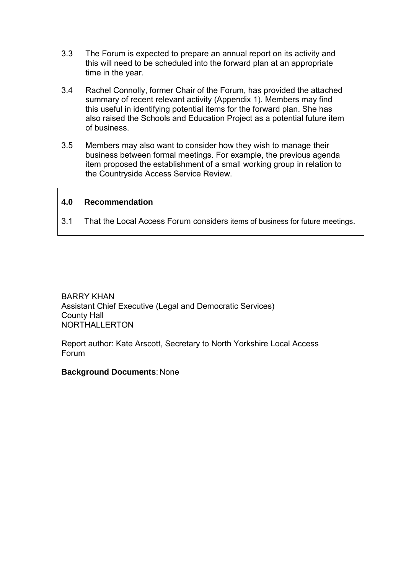- 3.3 The Forum is expected to prepare an annual report on its activity and this will need to be scheduled into the forward plan at an appropriate time in the year.
- 3.4 Rachel Connolly, former Chair of the Forum, has provided the attached summary of recent relevant activity (Appendix 1). Members may find this useful in identifying potential items for the forward plan. She has also raised the Schools and Education Project as a potential future item of business.
- 3.5 Members may also want to consider how they wish to manage their business between formal meetings. For example, the previous agenda item proposed the establishment of a small working group in relation to the Countryside Access Service Review.

### **4.0 Recommendation**

3.1 That the Local Access Forum considers items of business for future meetings.

BARRY KHAN Assistant Chief Executive (Legal and Democratic Services) County Hall NORTHALLERTON

Report author: Kate Arscott, Secretary to North Yorkshire Local Access Forum

#### **Background Documents**: None